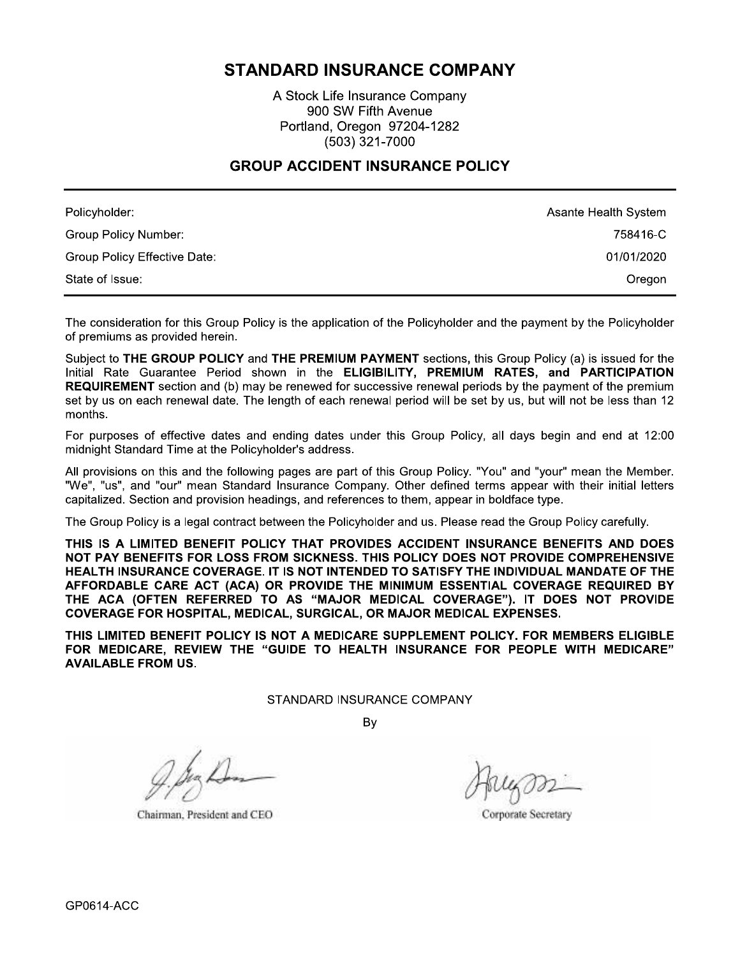# **STANDARD INSURANCE COMPANY**

A Stock Life Insurance Company 900 SW Fifth Avenue Portland, Oregon 97204-1282 (503) 321-7000

## **GROUP ACCIDENT INSURANCE POLICY**

| Policyholder:                | Asante Health System |
|------------------------------|----------------------|
| Group Policy Number:         | 758416-C             |
| Group Policy Effective Date: | 01/01/2020           |
| State of Issue:              | Oregon               |

The consideration for this Group Policy is the application of the Policyholder and the payment by the Policyholder of premiums as provided herein.

Subject to THE GROUP POLICY and THE PREMIUM PAYMENT sections, this Group Policy (a) is issued for the Initial Rate Guarantee Period shown in the ELIGIBILITY, PREMIUM RATES, and PARTICIPATION **REQUIREMENT** section and (b) may be renewed for successive renewal periods by the payment of the premium set by us on each renewal date. The length of each renewal period will be set by us, but will not be less than 12 months.

For purposes of effective dates and ending dates under this Group Policy, all days begin and end at 12:00 midnight Standard Time at the Policyholder's address.

All provisions on this and the following pages are part of this Group Policy. "You" and "your" mean the Member. "We", "us", and "our" mean Standard Insurance Company. Other defined terms appear with their initial letters capitalized. Section and provision headings, and references to them, appear in boldface type.

The Group Policy is a legal contract between the Policyholder and us. Please read the Group Policy carefully.

THIS IS A LIMITED BENEFIT POLICY THAT PROVIDES ACCIDENT INSURANCE BENEFITS AND DOES NOT PAY BENEFITS FOR LOSS FROM SICKNESS. THIS POLICY DOES NOT PROVIDE COMPREHENSIVE HEALTH INSURANCE COVERAGE. IT IS NOT INTENDED TO SATISFY THE INDIVIDUAL MANDATE OF THE AFFORDABLE CARE ACT (ACA) OR PROVIDE THE MINIMUM ESSENTIAL COVERAGE REQUIRED BY THE ACA (OFTEN REFERRED TO AS "MAJOR MEDICAL COVERAGE"). IT DOES NOT PROVIDE COVERAGE FOR HOSPITAL, MEDICAL, SURGICAL, OR MAJOR MEDICAL EXPENSES.

THIS LIMITED BENEFIT POLICY IS NOT A MEDICARE SUPPLEMENT POLICY. FOR MEMBERS ELIGIBLE FOR MEDICARE, REVIEW THE "GUIDE TO HEALTH INSURANCE FOR PEOPLE WITH MEDICARE" **AVAILABLE FROM US.** 

STANDARD INSURANCE COMPANY

By

Chairman, President and CEO

Corporate Secretary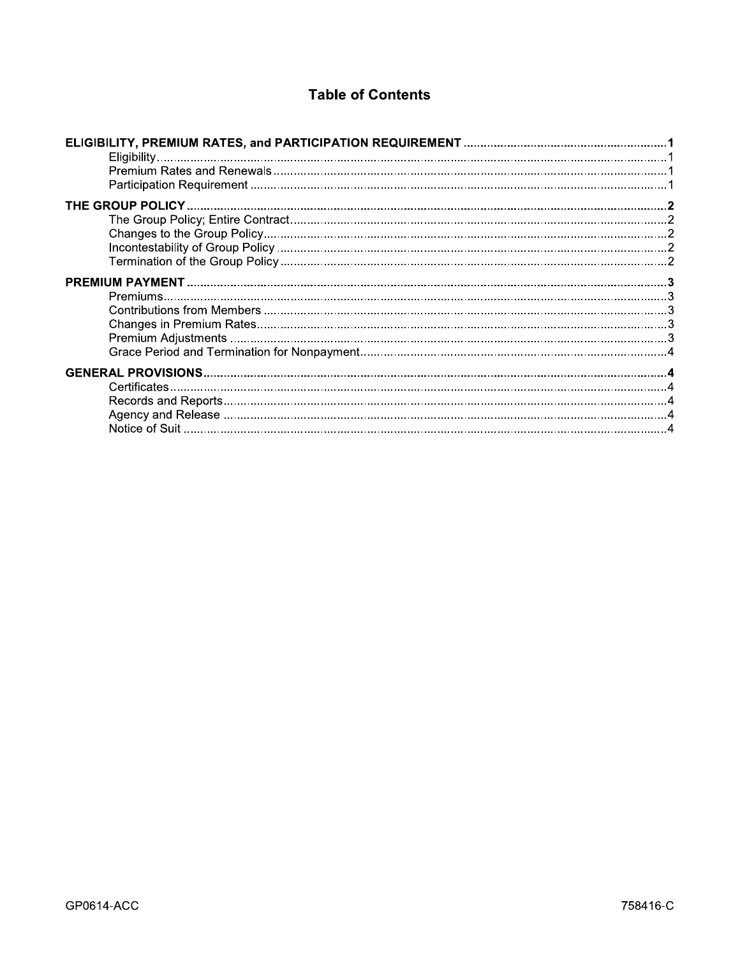# **Table of Contents**

| <b>Table of Contents</b> |  |  |
|--------------------------|--|--|
|                          |  |  |
|                          |  |  |
|                          |  |  |
|                          |  |  |
|                          |  |  |
|                          |  |  |
|                          |  |  |
|                          |  |  |
|                          |  |  |
|                          |  |  |
| Premiums                 |  |  |
|                          |  |  |
|                          |  |  |
|                          |  |  |
|                          |  |  |
|                          |  |  |
|                          |  |  |
|                          |  |  |
|                          |  |  |
|                          |  |  |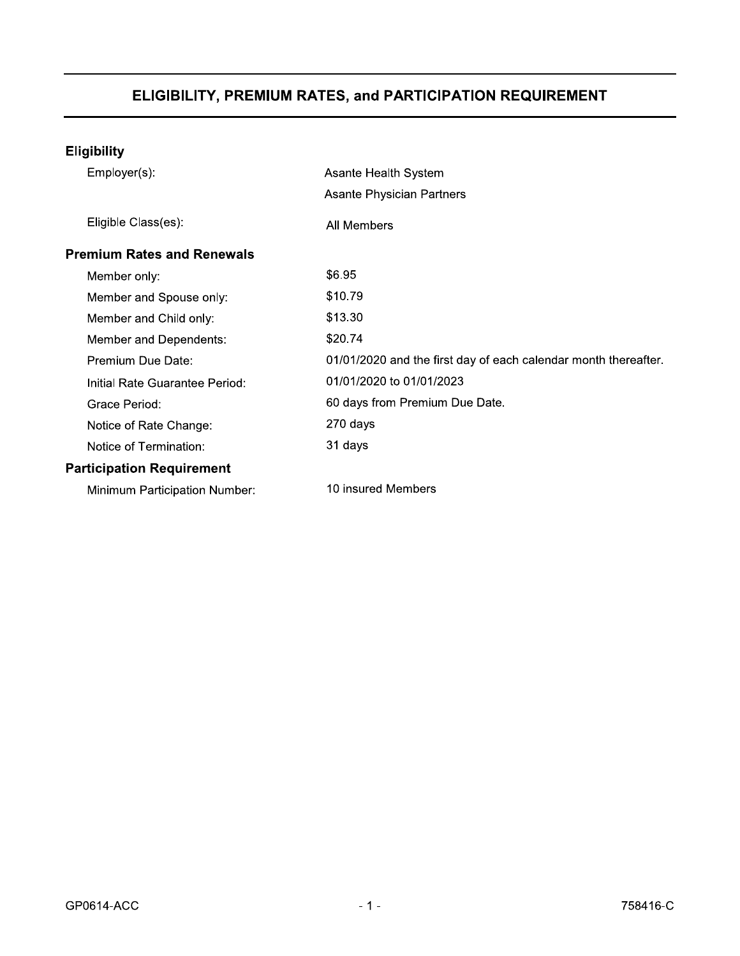| <b>Eligibility</b>                |                                                                 |  |
|-----------------------------------|-----------------------------------------------------------------|--|
| Employer(s):                      | Asante Health System                                            |  |
|                                   | <b>Asante Physician Partners</b>                                |  |
| Eligible Class(es):               | All Members                                                     |  |
| <b>Premium Rates and Renewals</b> |                                                                 |  |
| Member only:                      | \$6.95                                                          |  |
| Member and Spouse only:           | \$10.79                                                         |  |
| Member and Child only:            | \$13.30                                                         |  |
| Member and Dependents:            | \$20.74                                                         |  |
| Premium Due Date:                 | 01/01/2020 and the first day of each calendar month thereafter. |  |
| Initial Rate Guarantee Period:    | 01/01/2020 to 01/01/2023                                        |  |
| Grace Period:                     | 60 days from Premium Due Date.                                  |  |
| Notice of Rate Change:            | 270 days                                                        |  |
| Notice of Termination:            | 31 days                                                         |  |
| <b>Participation Requirement</b>  |                                                                 |  |
| Minimum Participation Number:     | 10 insured Members                                              |  |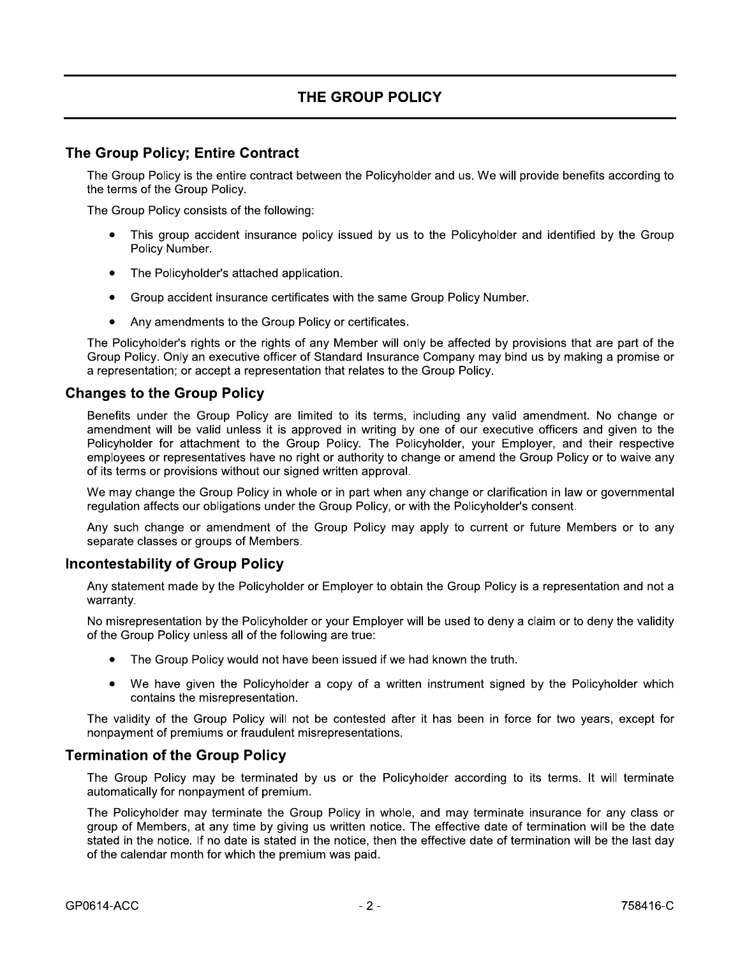# THE GROUP POLICY

# The Group Policy; Entire Contract

The Group Policy is the entire contract between the Policyholder and us. We will provide benefits according to the terms of the Group Policy.

The Group Policy consists of the following:

- This group accident insurance policy issued by us to the Policyholder and identified by the Group Policy Number.
- The Policyholder's attached application.
- Group accident insurance certificates with the same Group Policy Number.
- Any amendments to the Group Policy or certificates.

The Policyholder's rights or the rights of any Member will only be affected by provisions that are part of the Group Policy. Only an executive officer of Standard Insurance Company may bind us by making a promise or a representation; or accept a representation that relates to the Group Policy.

### **Changes to the Group Policy**

Benefits under the Group Policy are limited to its terms, including any valid amendment. No change or amendment will be valid unless it is approved in writing by one of our executive officers and given to the Policyholder for attachment to the Group Policy. The Policyholder, your Employer, and their respective employees or representatives have no right or authority to change or amend the Group Policy or to waive any of its terms or provisions without our signed written approval.

We may change the Group Policy in whole or in part when any change or clarification in law or governmental requiation affects our obligations under the Group Policy, or with the Policyholder's consent.

Any such change or amendment of the Group Policy may apply to current or future Members or to any separate classes or groups of Members.

### **Incontestability of Group Policy**

Any statement made by the Policyholder or Employer to obtain the Group Policy is a representation and not a warranty.

No misrepresentation by the Policyholder or your Employer will be used to deny a claim or to deny the validity of the Group Policy unless all of the following are true:

- The Group Policy would not have been issued if we had known the truth.
- We have given the Policyholder a copy of a written instrument signed by the Policyholder which  $\bullet$ contains the misrepresentation.

The validity of the Group Policy will not be contested after it has been in force for two years, except for nonpayment of premiums or fraudulent misrepresentations.

### **Termination of the Group Policy**

The Group Policy may be terminated by us or the Policyholder according to its terms. It will terminate automatically for nonpayment of premium.

The Policyholder may terminate the Group Policy in whole, and may terminate insurance for any class or group of Members, at any time by giving us written notice. The effective date of termination will be the date stated in the notice. If no date is stated in the notice, then the effective date of termination will be the last day of the calendar month for which the premium was paid.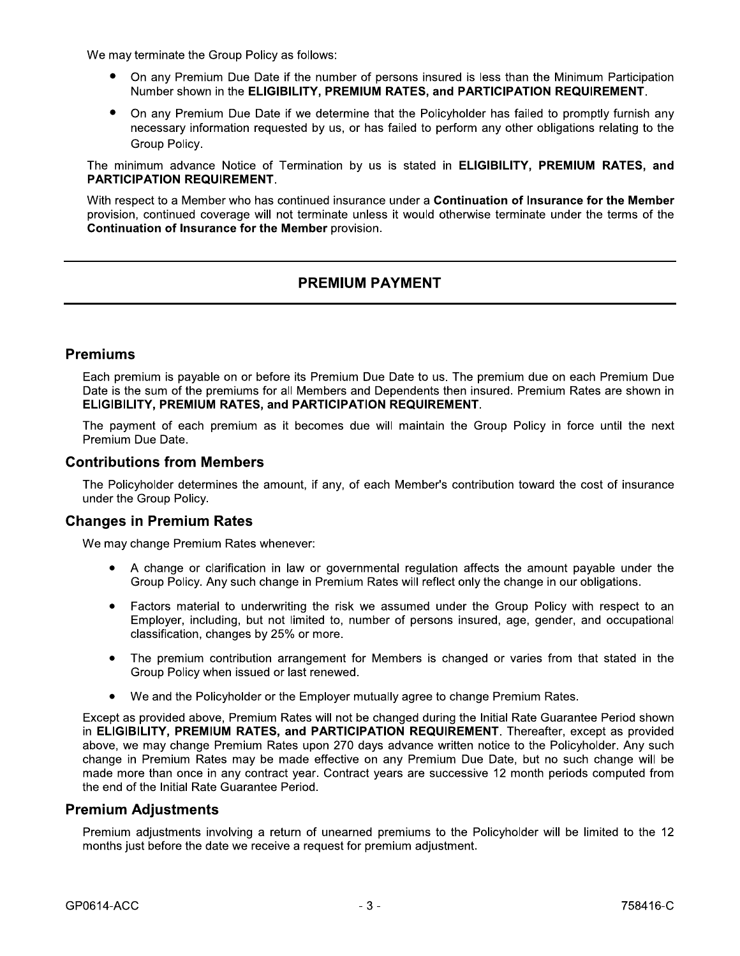We may terminate the Group Policy as follows:

- On any Premium Due Date if the number of persons insured is less than the Minimum Participation Number shown in the ELIGIBILITY, PREMIUM RATES, and PARTICIPATION REQUIREMENT.
- On any Premium Due Date if we determine that the Policyholder has failed to promptly furnish any necessary information requested by us, or has failed to perform any other obligations relating to the Group Policy.

The minimum advance Notice of Termination by us is stated in **ELIGIBILITY, PREMIUM RATES, and PARTICIPATION REQUIREMENT.** 

With respect to a Member who has continued insurance under a Continuation of Insurance for the Member provision, continued coverage will not terminate unless it would otherwise terminate under the terms of the **Continuation of Insurance for the Member provision.** 

# **PREMIUM PAYMENT**

## **Premiums**

Each premium is payable on or before its Premium Due Date to us. The premium due on each Premium Due Date is the sum of the premiums for all Members and Dependents then insured. Premium Rates are shown in ELIGIBILITY, PREMIUM RATES, and PARTICIPATION REQUIREMENT.

The payment of each premium as it becomes due will maintain the Group Policy in force until the next Premium Due Date.

### **Contributions from Members**

The Policyholder determines the amount, if any, of each Member's contribution toward the cost of insurance under the Group Policy.

#### **Changes in Premium Rates**

We may change Premium Rates whenever:

- A change or clarification in law or governmental regulation affects the amount payable under the Group Policy. Any such change in Premium Rates will reflect only the change in our obligations.
- Factors material to underwriting the risk we assumed under the Group Policy with respect to an  $\bullet$ Employer, including, but not limited to, number of persons insured, age, gender, and occupational classification, changes by 25% or more.
- The premium contribution arrangement for Members is changed or varies from that stated in the Group Policy when issued or last renewed.
- We and the Policyholder or the Employer mutually agree to change Premium Rates.  $\bullet$

Except as provided above, Premium Rates will not be changed during the Initial Rate Guarantee Period shown in ELIGIBILITY, PREMIUM RATES, and PARTICIPATION REQUIREMENT. Thereafter, except as provided above, we may change Premium Rates upon 270 days advance written notice to the Policyholder. Any such change in Premium Rates may be made effective on any Premium Due Date, but no such change will be made more than once in any contract year. Contract years are successive 12 month periods computed from the end of the Initial Rate Guarantee Period.

#### **Premium Adjustments**

Premium adjustments involving a return of unearned premiums to the Policyholder will be limited to the 12 months just before the date we receive a request for premium adjustment.